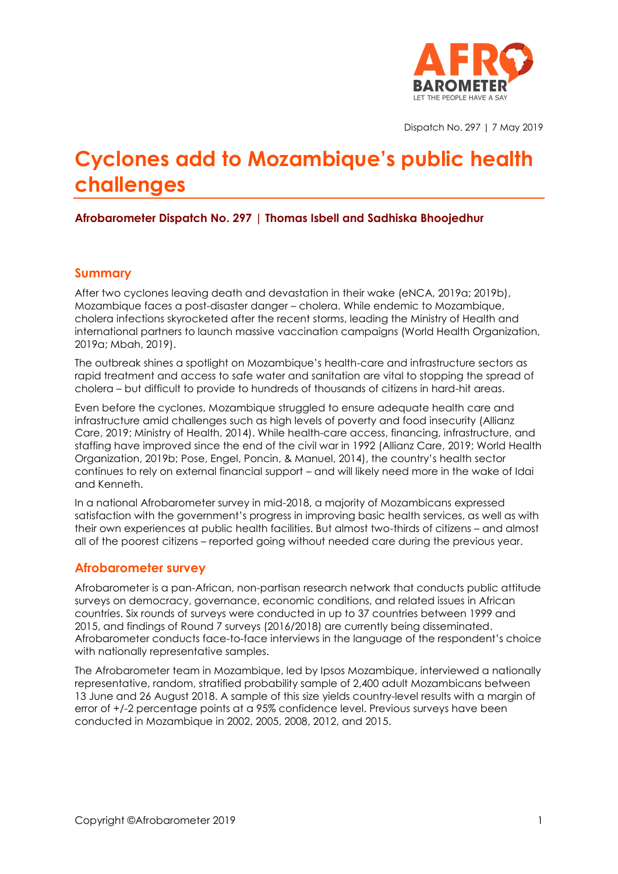

Dispatch No. 297 | 7 May 2019

# **Cyclones add to Mozambique's public health challenges**

## **Afrobarometer Dispatch No. 297 | Thomas Isbell and Sadhiska Bhoojedhur**

#### **Summary**

After two cyclones leaving death and devastation in their wake (eNCA, 2019a; 2019b), Mozambique faces a post-disaster danger – cholera. While endemic to Mozambique, cholera infections skyrocketed after the recent storms, leading the Ministry of Health and international partners to launch massive vaccination campaigns (World Health Organization, 2019a; Mbah, 2019).

The outbreak shines a spotlight on Mozambique's health-care and infrastructure sectors as rapid treatment and access to safe water and sanitation are vital to stopping the spread of cholera – but difficult to provide to hundreds of thousands of citizens in hard-hit areas.

Even before the cyclones, Mozambique struggled to ensure adequate health care and infrastructure amid challenges such as high levels of poverty and food insecurity (Allianz Care, 2019; Ministry of Health, 2014). While health-care access, financing, infrastructure, and staffing have improved since the end of the civil war in 1992 (Allianz Care, 2019; World Health Organization, 2019b; Pose, Engel, Poncin, & Manuel, 2014), the country's health sector continues to rely on external financial support – and will likely need more in the wake of Idai and Kenneth.

In a national Afrobarometer survey in mid-2018, a majority of Mozambicans expressed satisfaction with the government's progress in improving basic health services, as well as with their own experiences at public health facilities. But almost two-thirds of citizens – and almost all of the poorest citizens – reported going without needed care during the previous year.

#### **Afrobarometer survey**

Afrobarometer is a pan-African, non-partisan research network that conducts public attitude surveys on democracy, governance, economic conditions, and related issues in African countries. Six rounds of surveys were conducted in up to 37 countries between 1999 and 2015, and findings of Round 7 surveys (2016/2018) are currently being disseminated. Afrobarometer conducts face-to-face interviews in the language of the respondent's choice with nationally representative samples.

The Afrobarometer team in Mozambique, led by Ipsos Mozambique, interviewed a nationally representative, random, stratified probability sample of 2,400 adult Mozambicans between 13 June and 26 August 2018. A sample of this size yields country-level results with a margin of error of +/-2 percentage points at a 95% confidence level. Previous surveys have been conducted in Mozambique in 2002, 2005, 2008, 2012, and 2015.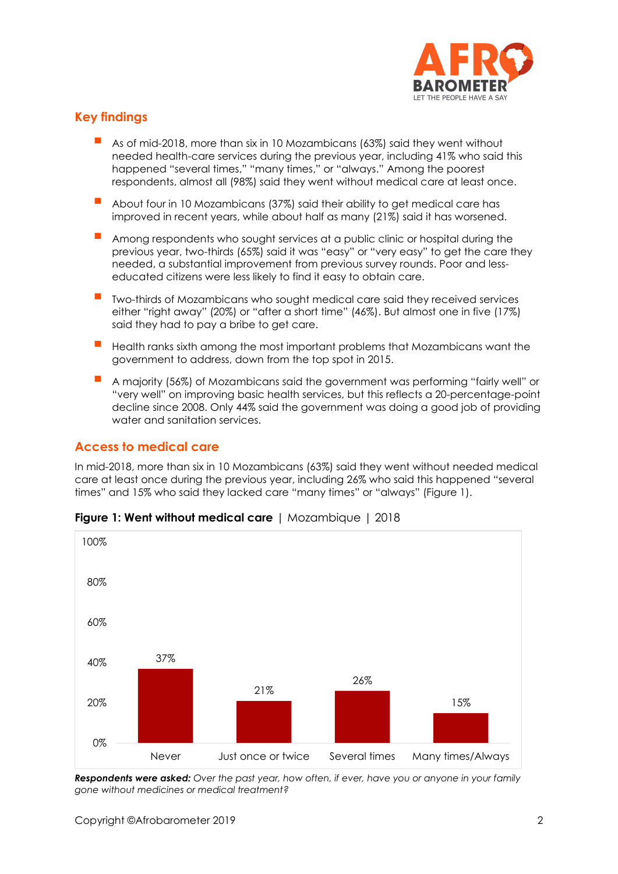

# **Key findings**

- As of mid-2018, more than six in 10 Mozambicans (63%) said they went without needed health-care services during the previous year, including 41% who said this happened "several times," "many times," or "always." Among the poorest respondents, almost all (98%) said they went without medical care at least once.
- About four in 10 Mozambicans (37%) said their ability to get medical care has improved in recent years, while about half as many (21%) said it has worsened.
- Among respondents who sought services at a public clinic or hospital during the previous year, two-thirds (65%) said it was "easy" or "very easy" to get the care they needed, a substantial improvement from previous survey rounds. Poor and lesseducated citizens were less likely to find it easy to obtain care.
- Two-thirds of Mozambicans who sought medical care said they received services either "right away" (20%) or "after a short time" (46%). But almost one in five (17%) said they had to pay a bribe to get care.
- Health ranks sixth among the most important problems that Mozambicans want the government to address, down from the top spot in 2015.
- A majority (56%) of Mozambicans said the government was performing "fairly well" or "very well" on improving basic health services, but this reflects a 20-percentage-point decline since 2008. Only 44% said the government was doing a good job of providing water and sanitation services.

## **Access to medical care**

In mid-2018, more than six in 10 Mozambicans (63%) said they went without needed medical care at least once during the previous year, including 26% who said this happened "several times" and 15% who said they lacked care "many times" or "always" (Figure 1).



## **Figure 1: Went without medical care** | Mozambique | 2018

*Respondents were asked: Over the past year, how often, if ever, have you or anyone in your family gone without medicines or medical treatment?*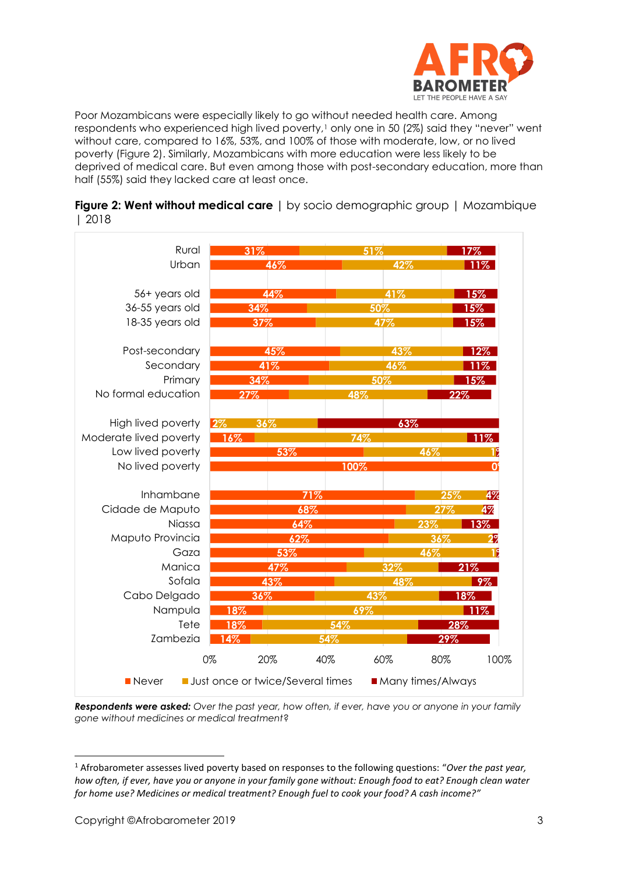

Poor Mozambicans were especially likely to go without needed health care. Among respondents who experienced high lived poverty,<sup>1</sup> only one in 50 (2%) said they "never" went without care, compared to 16%, 53%, and 100% of those with moderate, low, or no lived poverty (Figure 2). Similarly, Mozambicans with more education were less likely to be deprived of medical care. But even among those with post-secondary education, more than half (55%) said they lacked care at least once.





*Respondents were asked: Over the past year, how often, if ever, have you or anyone in your family gone without medicines or medical treatment*?

<sup>1</sup> Afrobarometer assesses lived poverty based on responses to the following questions: "*Over the past year, how often, if ever, have you or anyone in your family gone without: Enough food to eat? Enough clean water for home use? Medicines or medical treatment? Enough fuel to cook your food? A cash income?"*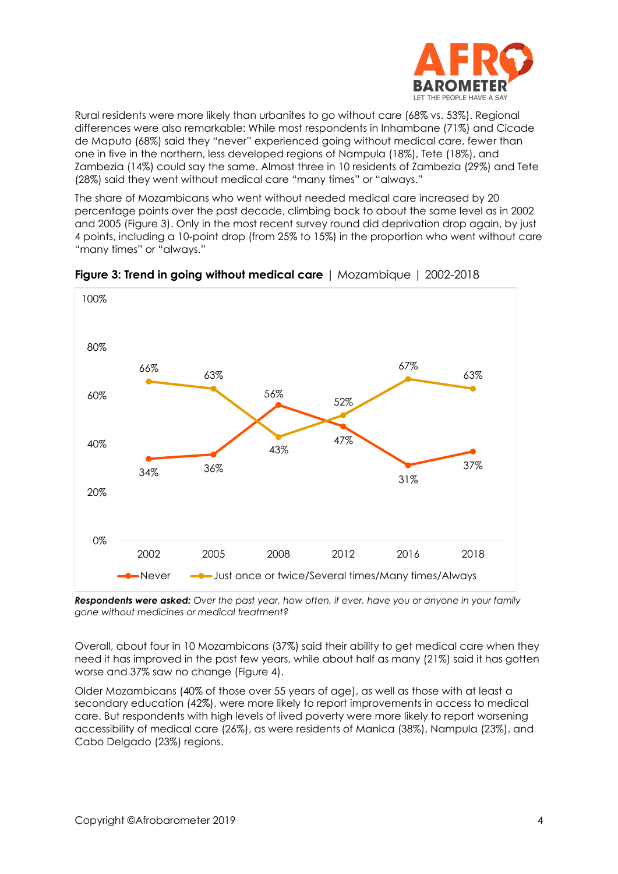

Rural residents were more likely than urbanites to go without care (68% vs. 53%). Regional differences were also remarkable: While most respondents in Inhambane (71%) and Cicade de Maputo (68%) said they "never" experienced going without medical care, fewer than one in five in the northern, less developed regions of Nampula (18%), Tete (18%), and Zambezia (14%) could say the same. Almost three in 10 residents of Zambezia (29%) and Tete (28%) said they went without medical care "many times" or "always."

The share of Mozambicans who went without needed medical care increased by 20 percentage points over the past decade, climbing back to about the same level as in 2002 and 2005 (Figure 3). Only in the most recent survey round did deprivation drop again, by just 4 points, including a 10-point drop (from 25% to 15%) in the proportion who went without care "many times" or "always."



**Figure 3: Trend in going without medical care** | Mozambique | 2002-2018

*Respondents were asked: Over the past year, how often, if ever, have you or anyone in your family gone without medicines or medical treatment?*

Overall, about four in 10 Mozambicans (37%) said their ability to get medical care when they need it has improved in the past few years, while about half as many (21%) said it has gotten worse and 37% saw no change (Figure 4).

Older Mozambicans (40% of those over 55 years of age), as well as those with at least a secondary education (42%), were more likely to report improvements in access to medical care. But respondents with high levels of lived poverty were more likely to report worsening accessibility of medical care (26%), as were residents of Manica (38%), Nampula (23%), and Cabo Delgado (23%) regions.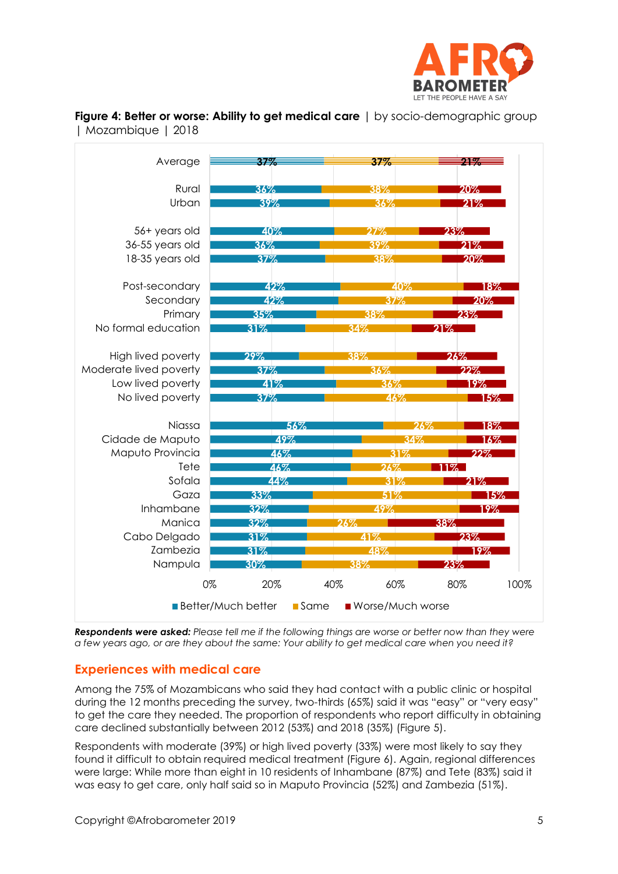



**Figure 4: Better or worse: Ability to get medical care** | by socio-demographic group | Mozambique | 2018

*Respondents were asked: Please tell me if the following things are worse or better now than they were a few years ago, or are they about the same: Your ability to get medical care when you need it?*

## **Experiences with medical care**

Among the 75% of Mozambicans who said they had contact with a public clinic or hospital during the 12 months preceding the survey, two-thirds (65%) said it was "easy" or "very easy" to get the care they needed. The proportion of respondents who report difficulty in obtaining care declined substantially between 2012 (53%) and 2018 (35%) (Figure 5).

Respondents with moderate (39%) or high lived poverty (33%) were most likely to say they found it difficult to obtain required medical treatment (Figure 6). Again, regional differences were large: While more than eight in 10 residents of Inhambane (87%) and Tete (83%) said it was easy to get care, only half said so in Maputo Provincia (52%) and Zambezia (51%).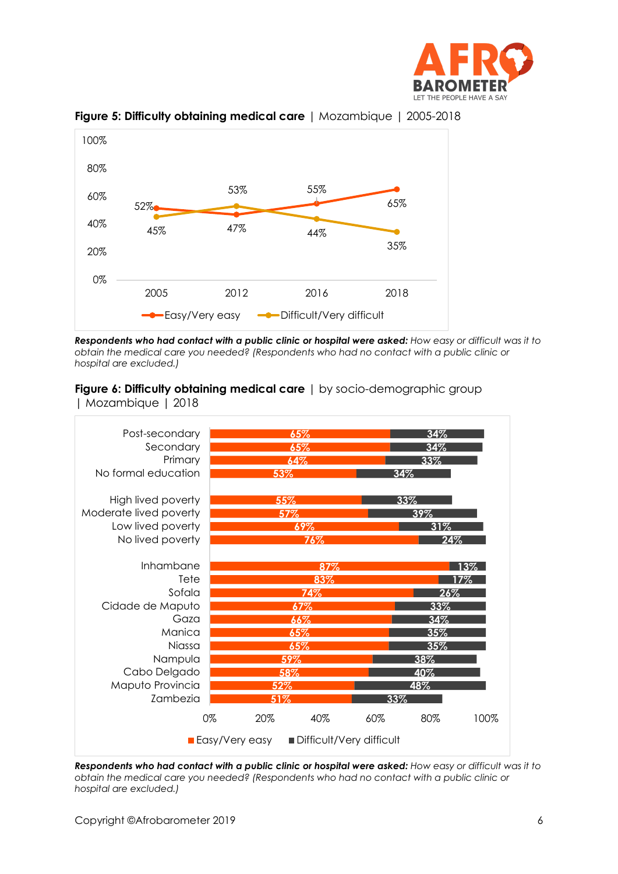



#### **Figure 5: Difficulty obtaining medical care** | Mozambique | 2005-2018

*Respondents who had contact with a public clinic or hospital were asked: How easy or difficult was it to obtain the medical care you needed? (Respondents who had no contact with a public clinic or hospital are excluded.)*

**Figure 6: Difficulty obtaining medical care** | by socio-demographic group | Mozambique | 2018



*Respondents who had contact with a public clinic or hospital were asked: How easy or difficult was it to obtain the medical care you needed? (Respondents who had no contact with a public clinic or hospital are excluded.)*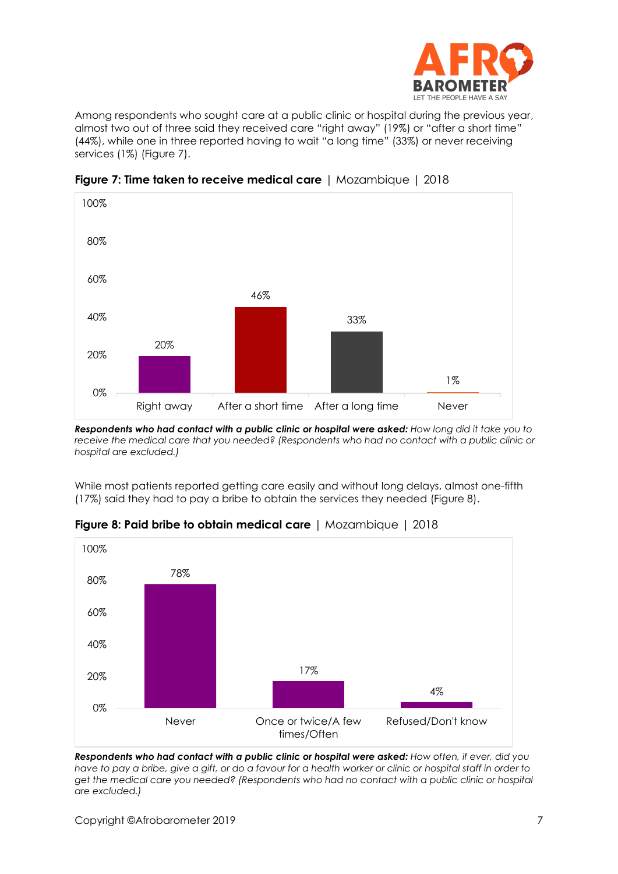

Among respondents who sought care at a public clinic or hospital during the previous year, almost two out of three said they received care "right away" (19%) or "after a short time" (44%), while one in three reported having to wait "a long time" (33%) or never receiving services (1%) (Figure 7).



**Figure 7: Time taken to receive medical care** | Mozambique | 2018

*Respondents who had contact with a public clinic or hospital were asked: How long did it take you to receive the medical care that you needed? (Respondents who had no contact with a public clinic or hospital are excluded.)*

While most patients reported getting care easily and without long delays, almost one-fifth (17%) said they had to pay a bribe to obtain the services they needed (Figure 8).



**Figure 8: Paid bribe to obtain medical care** | Mozambique | 2018

*Respondents who had contact with a public clinic or hospital were asked: How often, if ever, did you*  have to pay a bribe, give a gift, or do a favour for a health worker or clinic or hospital staff in order to *get the medical care you needed? (Respondents who had no contact with a public clinic or hospital are excluded.)*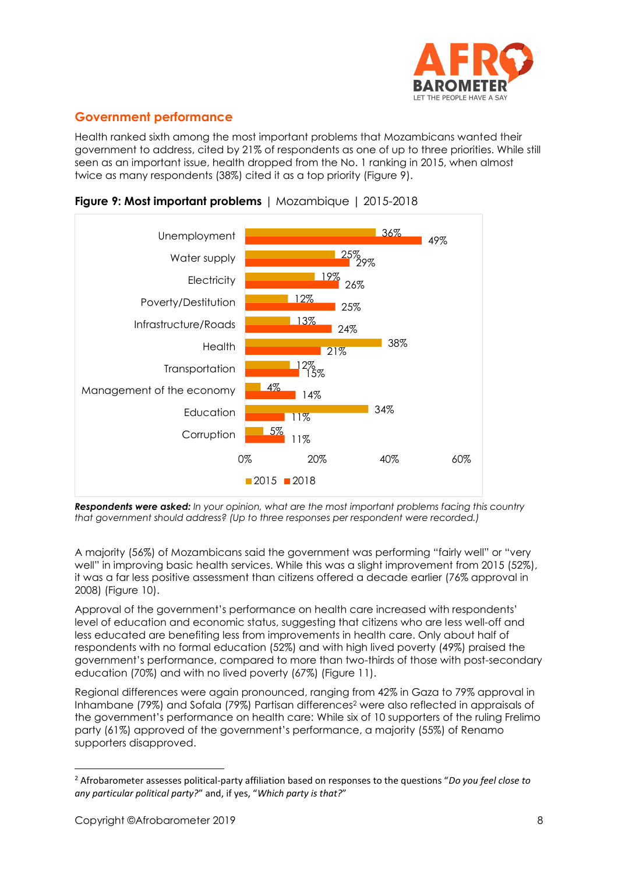

# **Government performance**

Health ranked sixth among the most important problems that Mozambicans wanted their government to address, cited by 21% of respondents as one of up to three priorities. While still seen as an important issue, health dropped from the No. 1 ranking in 2015, when almost twice as many respondents (38%) cited it as a top priority (Figure 9).





*Respondents were asked: In your opinion, what are the most important problems facing this country that government should address? (Up to three responses per respondent were recorded.)*

A majority (56%) of Mozambicans said the government was performing "fairly well" or "very well" in improving basic health services. While this was a slight improvement from 2015 (52%), it was a far less positive assessment than citizens offered a decade earlier (76% approval in 2008) (Figure 10).

Approval of the government's performance on health care increased with respondents' level of education and economic status, suggesting that citizens who are less well-off and less educated are benefiting less from improvements in health care. Only about half of respondents with no formal education (52%) and with high lived poverty (49%) praised the government's performance, compared to more than two-thirds of those with post-secondary education (70%) and with no lived poverty (67%) (Figure 11).

Regional differences were again pronounced, ranging from 42% in Gaza to 79% approval in Inhambane (79%) and Sofala (79%) Partisan differences<sup>2</sup> were also reflected in appraisals of the government's performance on health care: While six of 10 supporters of the ruling Frelimo party (61%) approved of the government's performance, a majority (55%) of Renamo supporters disapproved.

<sup>2</sup> Afrobarometer assesses political-party affiliation based on responses to the questions "*Do you feel close to any particular political party?*" and, if yes, "*Which party is that?*"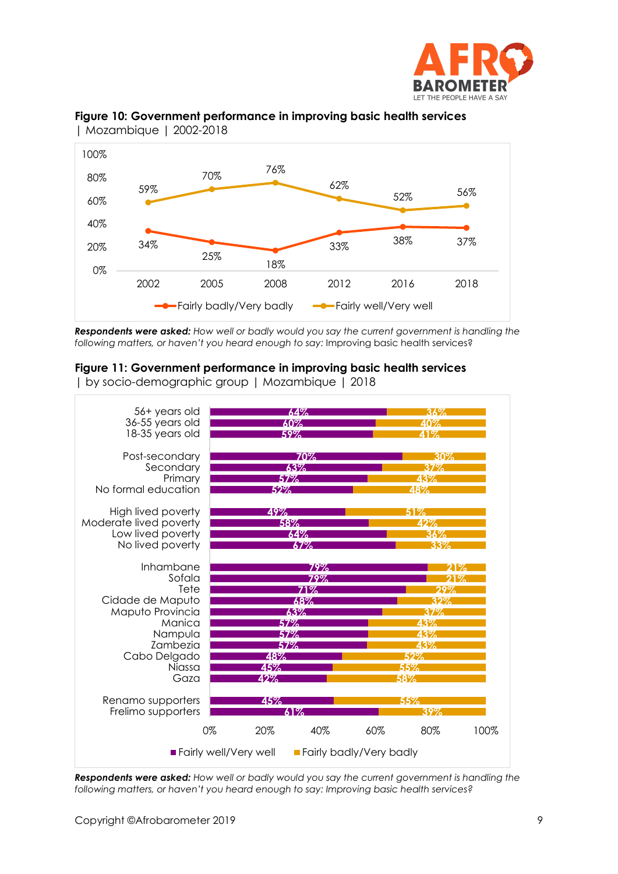



#### **Figure 10: Government performance in improving basic health services**  | Mozambique | 2002-2018

*Respondents were asked: How well or badly would you say the current government is handling the following matters, or haven't you heard enough to say:* Improving basic health services?

## **Figure 11: Government performance in improving basic health services**

| by socio-demographic group | Mozambique | 2018



*Respondents were asked: How well or badly would you say the current government is handling the following matters, or haven't you heard enough to say: Improving basic health services?*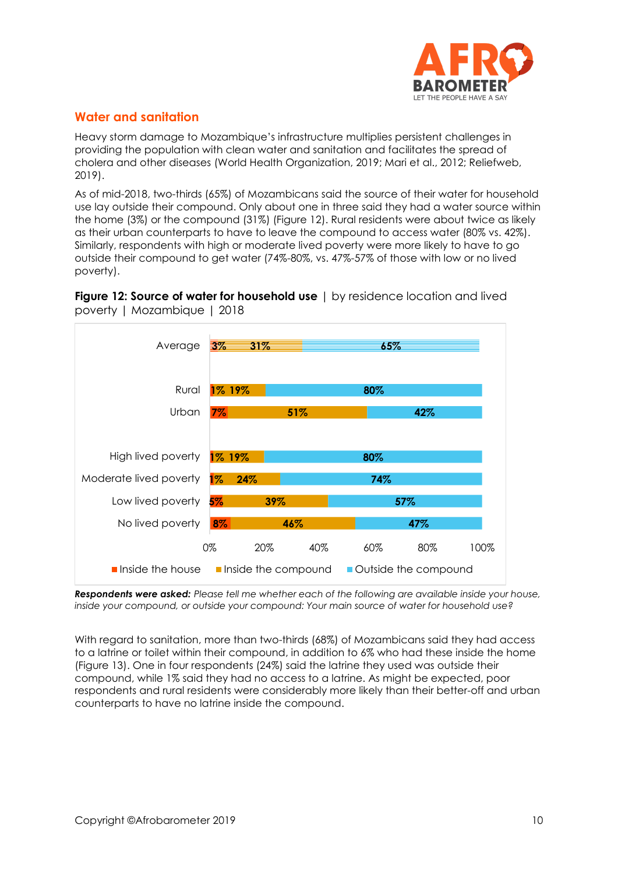

# **Water and sanitation**

Heavy storm damage to Mozambique's infrastructure multiplies persistent challenges in providing the population with clean water and sanitation and facilitates the spread of cholera and other diseases (World Health Organization, 2019; Mari et al., 2012; Reliefweb, 2019).

As of mid-2018, two-thirds (65%) of Mozambicans said the source of their water for household use lay outside their compound. Only about one in three said they had a water source within the home (3%) or the compound (31%) (Figure 12). Rural residents were about twice as likely as their urban counterparts to have to leave the compound to access water (80% vs. 42%). Similarly, respondents with high or moderate lived poverty were more likely to have to go outside their compound to get water (74%-80%, vs. 47%-57% of those with low or no lived poverty).





*Respondents were asked: Please tell me whether each of the following are available inside your house, inside your compound, or outside your compound: Your main source of water for household use?*

With regard to sanitation, more than two-thirds (68%) of Mozambicans said they had access to a latrine or toilet within their compound, in addition to 6% who had these inside the home (Figure 13). One in four respondents (24%) said the latrine they used was outside their compound, while 1% said they had no access to a latrine. As might be expected, poor respondents and rural residents were considerably more likely than their better-off and urban counterparts to have no latrine inside the compound.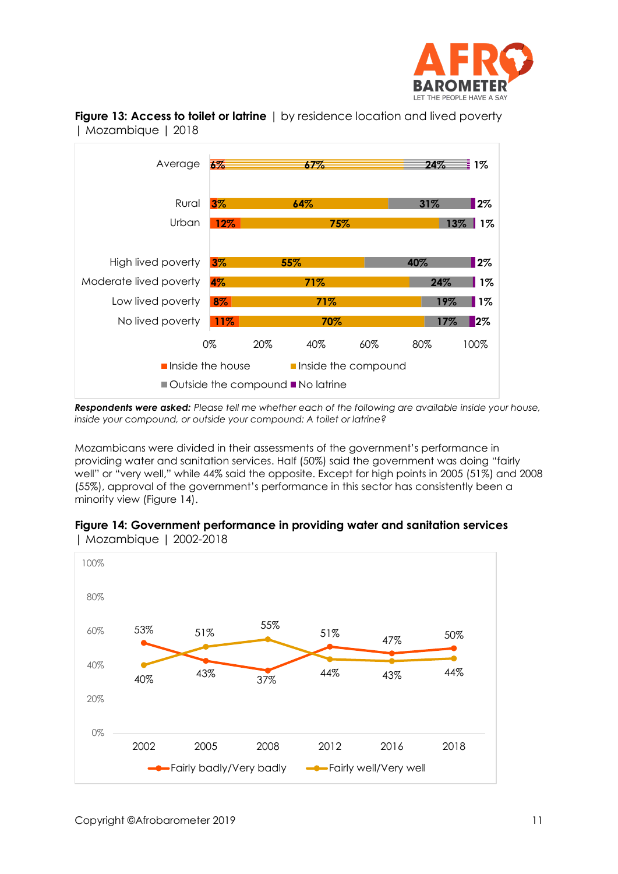



**Figure 13: Access to toilet or latrine** | by residence location and lived poverty | Mozambique | 2018

*Respondents were asked: Please tell me whether each of the following are available inside your house, inside your compound, or outside your compound: A toilet or latrine?*

Mozambicans were divided in their assessments of the government's performance in providing water and sanitation services. Half (50%) said the government was doing "fairly well" or "very well," while 44% said the opposite. Except for high points in 2005 (51%) and 2008 (55%), approval of the government's performance in this sector has consistently been a minority view (Figure 14).



**Figure 14: Government performance in providing water and sanitation services**  | Mozambique | 2002-2018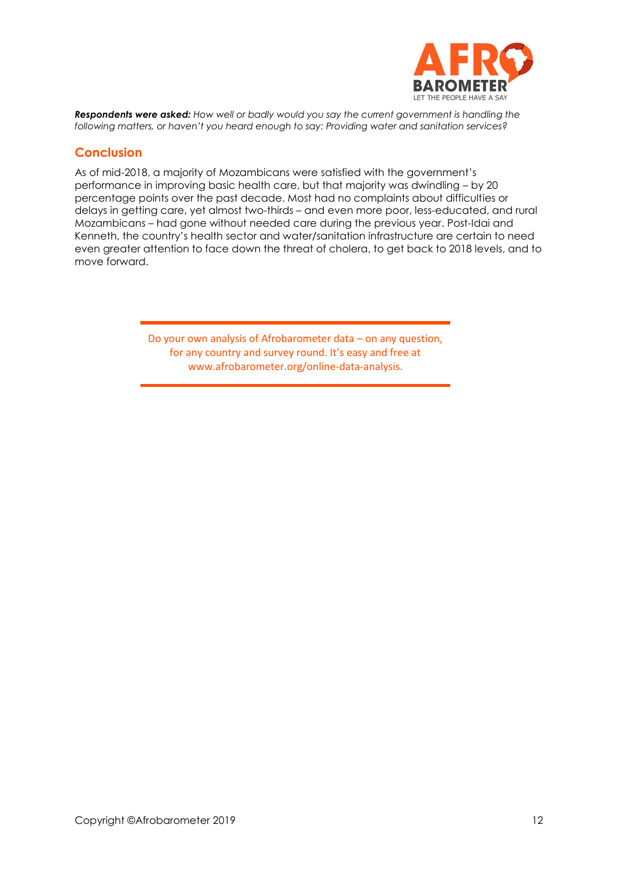

*Respondents were asked: How well or badly would you say the current government is handling the following matters, or haven't you heard enough to say: Providing water and sanitation services?*

# **Conclusion**

As of mid-2018, a majority of Mozambicans were satisfied with the government's performance in improving basic health care, but that majority was dwindling – by 20 percentage points over the past decade. Most had no complaints about difficulties or delays in getting care, yet almost two-thirds – and even more poor, less-educated, and rural Mozambicans – had gone without needed care during the previous year. Post-Idai and Kenneth, the country's health sector and water/sanitation infrastructure are certain to need even greater attention to face down the threat of cholera, to get back to 2018 levels, and to move forward.

> Do your own analysis of Afrobarometer data – on any question, for any country and survey round. It's easy and free at www.afrobarometer.org/online-data-analysis.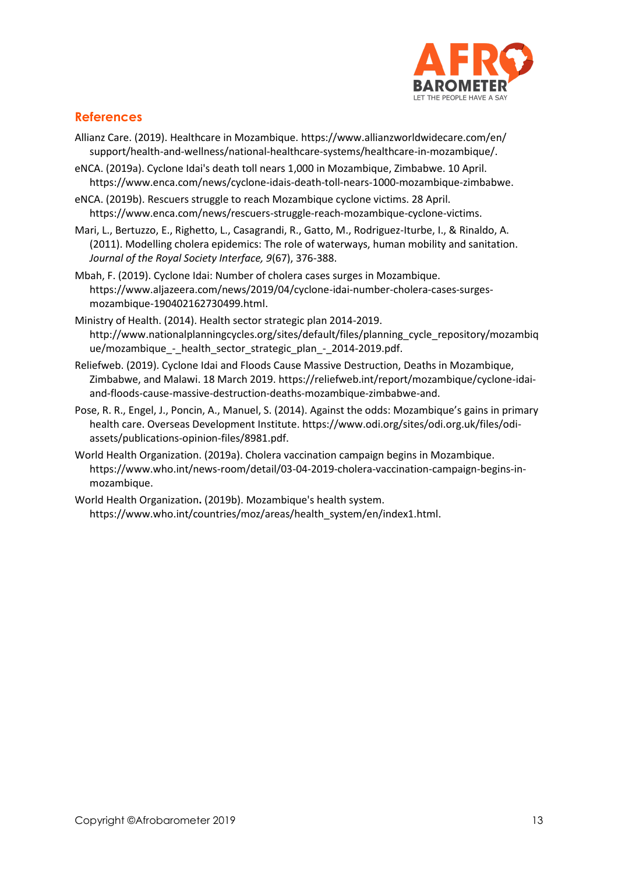

# **References**

- Allianz Care. (2019). Healthcare in Mozambique. [https://www.allianzworldwidecare.com/en/](https://www.allianzworldwidecare.com/en/%20support/health-and-wellness/national-healthcare-systems/healthcare-in-mozambique/)  [support/health-and-wellness/national-healthcare-systems/healthcare-in-mozambique/.](https://www.allianzworldwidecare.com/en/%20support/health-and-wellness/national-healthcare-systems/healthcare-in-mozambique/)
- eNCA. (2019a). Cyclone Idai's death toll nears 1,000 in Mozambique, Zimbabwe. 10 April. [https://www.enca.com/news/cyclone-idais-death-toll-nears-1000-mozambique-zimbabwe.](https://www.enca.com/news/cyclone-idais-death-toll-nears-1000-mozambique-zimbabwe)
- eNCA. (2019b). Rescuers struggle to reach Mozambique cyclone victims. 28 April. https://www.enca.com/news/rescuers-struggle-reach-mozambique-cyclone-victims.
- Mari, L., Bertuzzo, E., Righetto, L., Casagrandi, R., Gatto, M., Rodriguez-Iturbe, I., & Rinaldo, A. (2011). Modelling cholera epidemics: The role of waterways, human mobility and sanitation. *Journal of the Royal Society Interface, 9*(67), 376-388.
- Mbah, F. (2019). Cyclone Idai: Number of cholera cases surges in Mozambique. [https://www.aljazeera.com/news/2019/04/cyclone-idai-number-cholera-cases-surges](https://www.aljazeera.com/news/2019/04/cyclone-idai-number-cholera-cases-surges-mozambique-190402162730499.html)[mozambique-190402162730499.html.](https://www.aljazeera.com/news/2019/04/cyclone-idai-number-cholera-cases-surges-mozambique-190402162730499.html)
- Ministry of Health. (2014). Health sector strategic plan 2014-2019. [http://www.nationalplanningcycles.org/sites/default/files/planning\\_cycle\\_repository/mozambiq](http://www.nationalplanningcycles.org/sites/default/files/planning_cycle_repository/mozambique/mozambique_-_health_sector_strategic_plan_-_2014-2019.pdf) [ue/mozambique\\_-\\_health\\_sector\\_strategic\\_plan\\_-\\_2014-2019.pdf.](http://www.nationalplanningcycles.org/sites/default/files/planning_cycle_repository/mozambique/mozambique_-_health_sector_strategic_plan_-_2014-2019.pdf)
- Reliefweb. (2019). Cyclone Idai and Floods Cause Massive Destruction, Deaths in Mozambique, Zimbabwe, and Malawi. 18 March 2019. [https://reliefweb.int/report/mozambique/cyclone-idai](https://reliefweb.int/report/mozambique/cyclone-idai-and-floods-cause-massive-destruction-deaths-mozambique-zimbabwe-and)[and-floods-cause-massive-destruction-deaths-mozambique-zimbabwe-and.](https://reliefweb.int/report/mozambique/cyclone-idai-and-floods-cause-massive-destruction-deaths-mozambique-zimbabwe-and)
- Pose, R. R., Engel, J., Poncin, A., Manuel, S. (2014). Against the odds: Mozambique's gains in primary health care. Overseas Development Institute. https://www.odi.org/sites/odi.org.uk/files/odiassets/publications-opinion-files/8981.pdf.
- World Health Organization. (2019a). Cholera vaccination campaign begins in Mozambique. [https://www.who.int/news-room/detail/03-04-2019-cholera-vaccination-campaign-begins-in](https://www.who.int/news-room/detail/03-04-2019-cholera-vaccination-campaign-begins-in-mozambique)[mozambique.](https://www.who.int/news-room/detail/03-04-2019-cholera-vaccination-campaign-begins-in-mozambique)
- World Health Organization**.** (2019b). Mozambique's health system. https://www.who.int/countries/moz/areas/health\_system/en/index1.html.